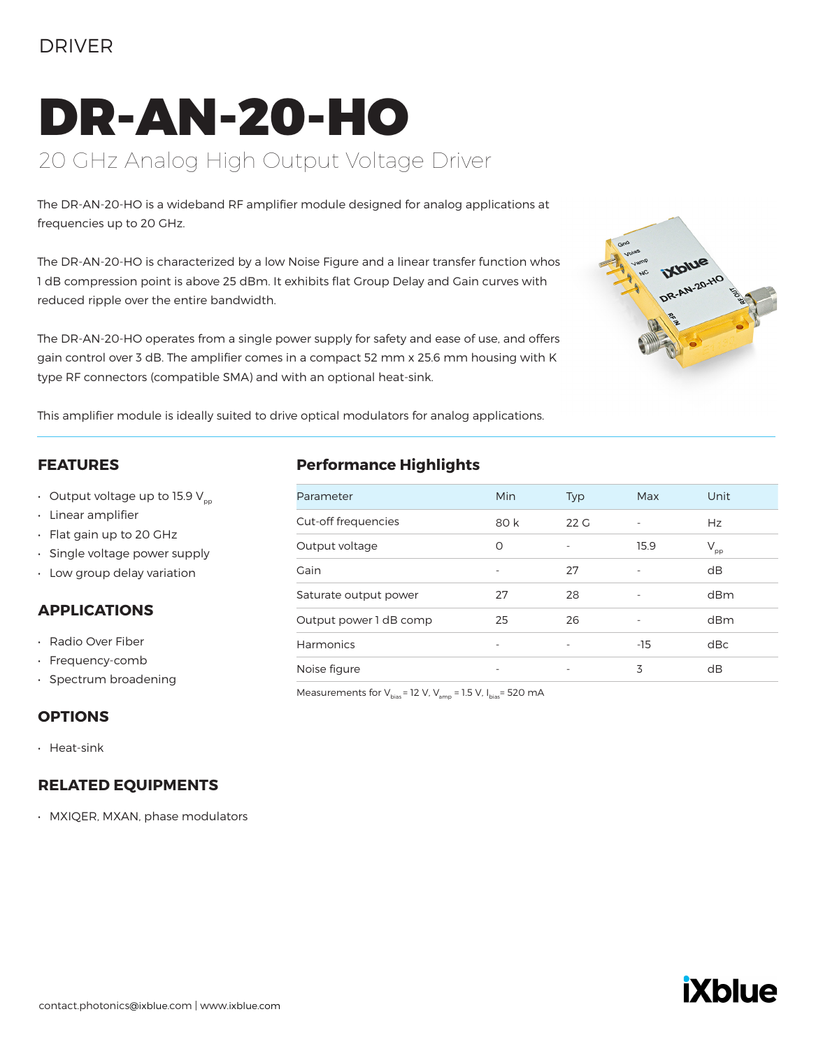## DRIVER

# DR-AN-20-HO 20 GHz Analog High Output Voltage Driver

The DR-AN-20-HO is a wideband RF amplifier module designed for analog applications at frequencies up to 20 GHz.

The DR-AN-20-HO is characterized by a low Noise Figure and a linear transfer function whos 1 dB compression point is above 25 dBm. It exhibits flat Group Delay and Gain curves with reduced ripple over the entire bandwidth.

The DR-AN-20-HO operates from a single power supply for safety and ease of use, and offers gain control over 3 dB. The amplifier comes in a compact 52 mm x 25.6 mm housing with K type RF connectors (compatible SMA) and with an optional heat-sink.



This amplifier module is ideally suited to drive optical modulators for analog applications.

#### **FEATURES**

- Output voltage up to 15.9  $V_{\text{p}p}$
- Linear amplifier
- Flat gain up to 20 GHz
- Single voltage power supply
- Low group delay variation

### **APPLICATIONS**

- Radio Over Fiber
- Frequency-comb
- Spectrum broadening

### **OPTIONS**

• Heat-sink

### **RELATED EQUIPMENTS**

• MXIQER, MXAN, phase modulators

### **Performance Highlights**

| Parameter              | Min                      | <b>Typ</b>               | Max                      | Unit                       |
|------------------------|--------------------------|--------------------------|--------------------------|----------------------------|
| Cut-off frequencies    | 80 k                     | 22G                      | ٠                        | Hz                         |
| Output voltage         | O                        |                          | 15.9                     | $\mathsf{V}_{\mathsf{pp}}$ |
| Gain                   |                          | 27                       |                          | dB                         |
| Saturate output power  | 27                       | 28                       | $\overline{\phantom{0}}$ | dBm                        |
| Output power 1 dB comp | 25                       | 26                       | ٠                        | dBm                        |
| Harmonics              | $\overline{\phantom{a}}$ | $\overline{\phantom{0}}$ | -15                      | dBc                        |
| Noise figure           | $\overline{\phantom{a}}$ | $\qquad \qquad -$        | 3                        | dB                         |

Measurements for  $V_{bias}$  = 12 V,  $V_{amp}$  = 1.5 V,  $I_{bias}$  = 520 mA

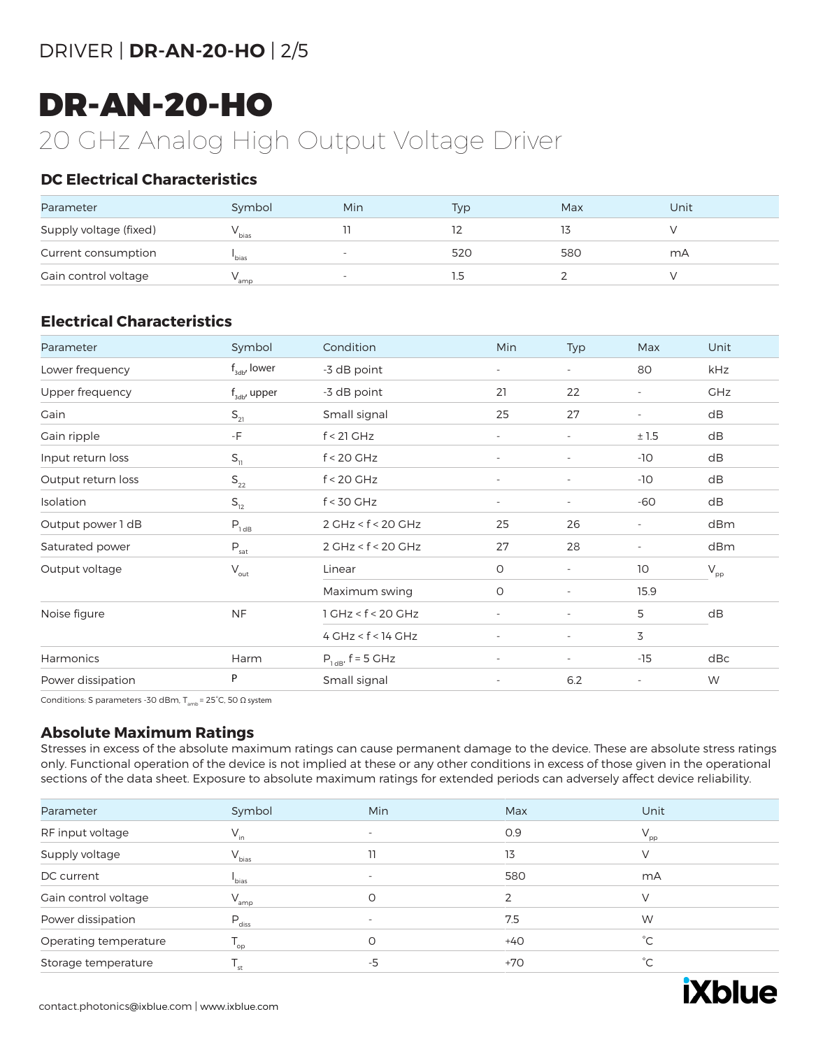# DRIVER | **DR-AN-20-HO** | 2/5

# DR-AN-20-HO

# 20 GHz Analog High Output Voltage Driver

## **DC Electrical Characteristics**

| Parameter              | Symbol            | Min                      | Typ | Max | Unit |
|------------------------|-------------------|--------------------------|-----|-----|------|
| Supply voltage (fixed) | <sup>v</sup> bias |                          |     |     |      |
| Current consumption    | <sup>'</sup> bias | $\overline{\phantom{a}}$ | 520 | 580 | mA   |
| Gain control voltage   | amp               | $\overline{\phantom{a}}$ |     |     |      |

## **Electrical Characteristics**

| Parameter          | Symbol                               | Condition              | Min                      | Typ                      | Max                      | Unit                       |
|--------------------|--------------------------------------|------------------------|--------------------------|--------------------------|--------------------------|----------------------------|
| Lower frequency    | $f_{\text{sub}}$ , lower             | -3 dB point            | $\overline{\phantom{a}}$ | $\overline{\phantom{a}}$ | 80                       | kHz                        |
| Upper frequency    | $f_{\text{3db}}$ , upper             | -3 dB point            | 21                       | 22                       | $\overline{\phantom{a}}$ | <b>GHz</b>                 |
| Gain               | $\mathsf{S}_{\scriptscriptstyle 21}$ | Small signal           | 25                       | 27                       | $\overline{\phantom{a}}$ | dB                         |
| Gain ripple        | -F                                   | $f < 21$ GHz           | $\overline{\phantom{a}}$ | $\overline{\phantom{a}}$ | ±1.5                     | dB                         |
| Input return loss  | $S_{11}$                             | $f < 20$ GHz           | $\overline{\phantom{a}}$ | $\overline{\phantom{a}}$ | $-10$                    | dB                         |
| Output return loss | $\mathsf{S}_{_{\mathsf{22}}}$        | $f < 20$ GHz           | $\overline{\phantom{a}}$ | $\overline{\phantom{a}}$ | $-10$                    | dB                         |
| Isolation          | $S_{12}$                             | $f < 30$ GHz           | $\sim$                   | $\overline{\phantom{a}}$ | -60                      | dB                         |
| Output power 1 dB  | $P_{1dB}$                            | 2 GHz < f < 20 GHz     | 25                       | 26                       | $\overline{\phantom{a}}$ | dBm                        |
| Saturated power    | $P_{\underline{\text{sat}}}$         | 2 GHz < f < 20 GHz     | 27                       | 28                       | $\overline{\phantom{a}}$ | dBm                        |
| Output voltage     | $\mathsf{V}_{\mathsf{out}}$          | Linear                 | $\circ$                  | $\overline{\phantom{a}}$ | 10                       | $\mathsf{V}_{\mathsf{pp}}$ |
|                    |                                      | Maximum swing          | O                        | $\overline{\phantom{a}}$ | 15.9                     |                            |
| Noise figure       | <b>NF</b>                            | $1$ GHz < $f$ < 20 GHz | $\overline{\phantom{a}}$ |                          | 5                        | dB                         |
|                    |                                      | $4$ GHz < $f$ < 14 GHz | $\sim$                   | $\overline{\phantom{a}}$ | 3                        |                            |
| Harmonics          | Harm                                 | $P_{1dB'}$ , f = 5 GHz | $\sim$                   | $\overline{\phantom{a}}$ | $-15$                    | dBc                        |
| Power dissipation  | P                                    | Small signal           | $\overline{\phantom{a}}$ | 6.2                      | $\overline{\phantom{a}}$ | W                          |
|                    |                                      |                        |                          |                          |                          |                            |

Conditions: S parameters -30 dBm,  $T_{\rm amb}$  = 25°C, 50  $\Omega$  system

### **Absolute Maximum Ratings**

Stresses in excess of the absolute maximum ratings can cause permanent damage to the device. These are absolute stress ratings only. Functional operation of the device is not implied at these or any other conditions in excess of those given in the operational sections of the data sheet. Exposure to absolute maximum ratings for extended periods can adversely affect device reliability.

| Parameter             | Symbol                        | <b>Min</b>               | Max   | Unit            |
|-----------------------|-------------------------------|--------------------------|-------|-----------------|
| RF input voltage      | $V_{in}$                      | $\overline{\phantom{0}}$ | 0.9   | $V_{\text{pp}}$ |
| Supply voltage        | $V_{bias}$                    |                          | 13    | V               |
| DC current            | bias                          | $\overline{\phantom{0}}$ | 580   | mA              |
| Gain control voltage  | $V_{amp}$                     | $\circ$                  | っ     | V               |
| Power dissipation     | $P_{\text{diss}}$             |                          | 7.5   | W               |
| Operating temperature | $\mathsf{T}_{_{\mathrm{op}}}$ | Ο                        | $+40$ | $^{\circ}C$     |
| Storage temperature   | st                            | -5                       | $+70$ | $\hat{C}$       |

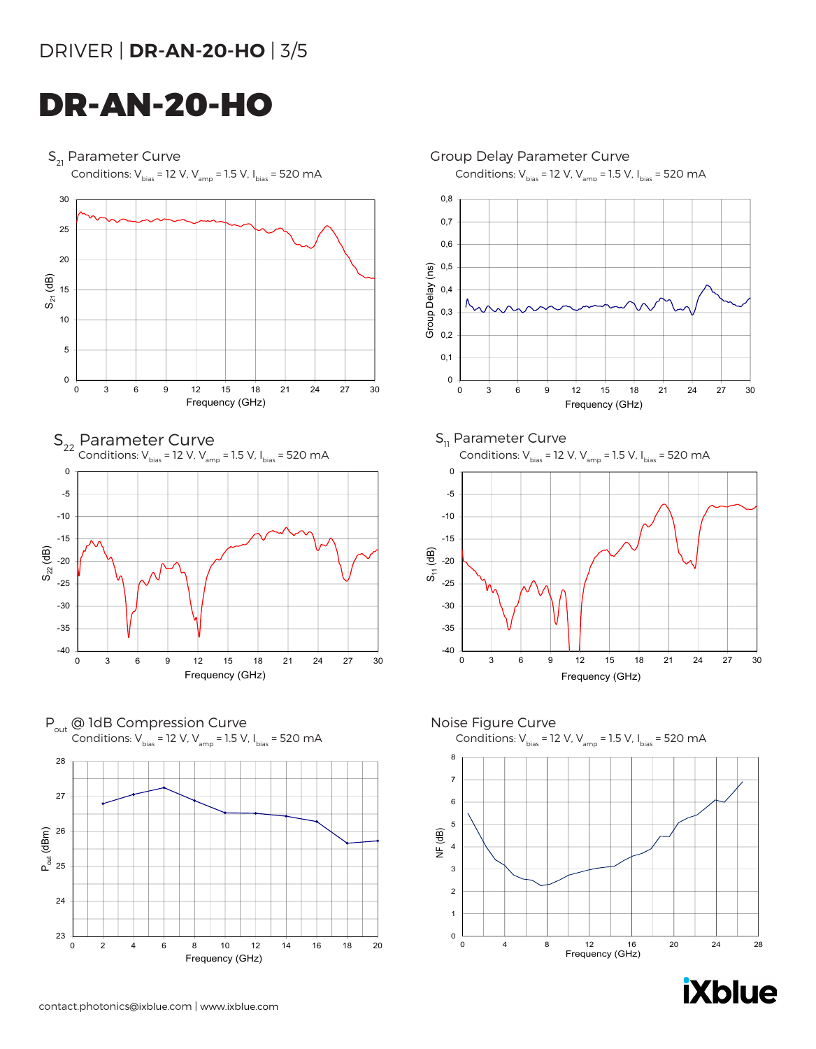# DRIVER | **DR-AN-20-HO** | 3/5

# DR-AN-20-HO

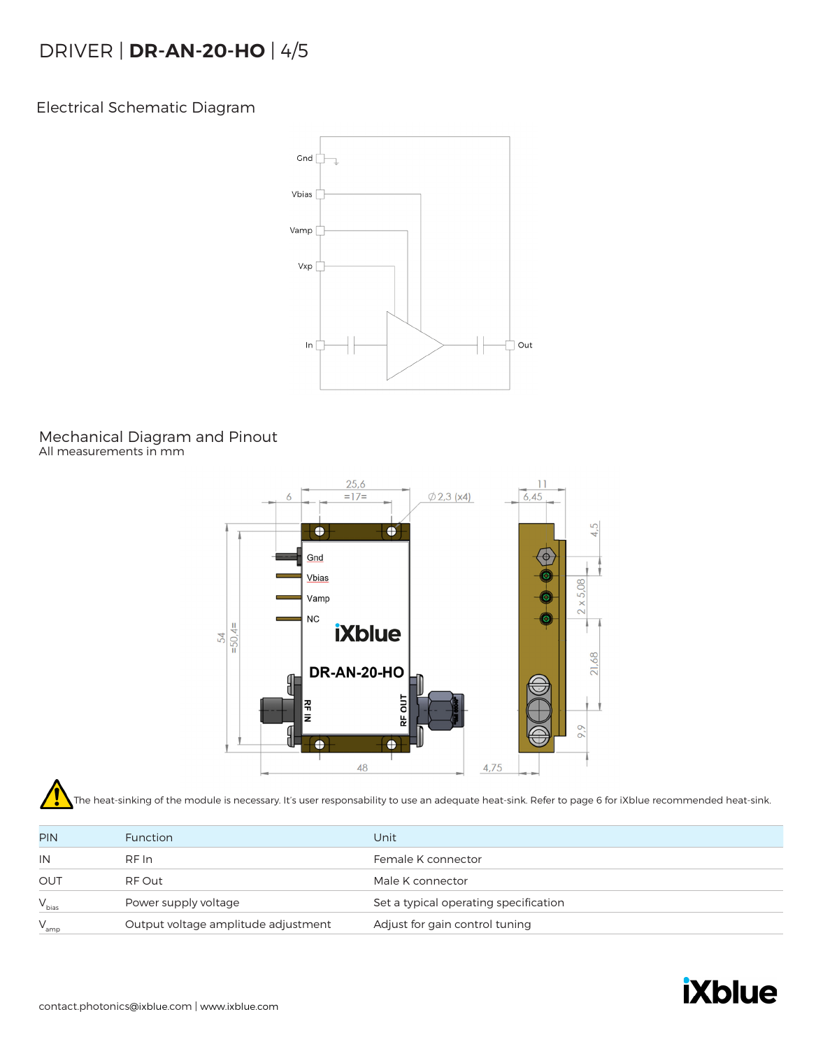# DRIVER | **DR-AN-20-HO** | 4/5

Electrical Schematic Diagram



#### Mechanical Diagram and Pinout All measurements in mm



The heat-sinking of the module is necessary. It's user responsability to use an adequate heat-sink. Refer to page 6 for iXblue recommended heat-sink.

| <b>PIN</b> | <b>Function</b>                     | Unit                                  |
|------------|-------------------------------------|---------------------------------------|
| IN         | RF In                               | Female K connector                    |
| OUT        | RF Out                              | Male K connector                      |
| $V_{bias}$ | Power supply voltage                | Set a typical operating specification |
| $V_{amp}$  | Output voltage amplitude adjustment | Adjust for gain control tuning        |